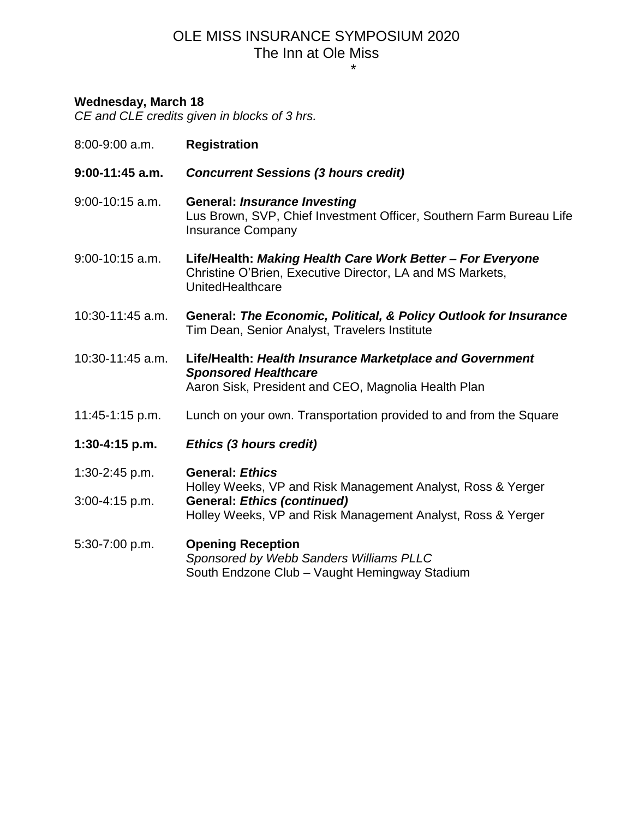## OLE MISS INSURANCE SYMPOSIUM 2020 The Inn at Ole Miss \*

## **Wednesday, March 18**

*CE and CLE credits given in blocks of 3 hrs.*

| $9:00-11:45$ a.m.<br><b>Concurrent Sessions (3 hours credit)</b>                                                                                                                       |  |
|----------------------------------------------------------------------------------------------------------------------------------------------------------------------------------------|--|
|                                                                                                                                                                                        |  |
| $9:00-10:15$ a.m.<br><b>General: Insurance Investing</b><br>Lus Brown, SVP, Chief Investment Officer, Southern Farm Bureau Life<br><b>Insurance Company</b>                            |  |
| $9:00-10:15$ a.m.<br>Life/Health: Making Health Care Work Better - For Everyone<br>Christine O'Brien, Executive Director, LA and MS Markets,<br>UnitedHealthcare                       |  |
| 10:30-11:45 a.m.<br>General: The Economic, Political, & Policy Outlook for Insurance<br>Tim Dean, Senior Analyst, Travelers Institute                                                  |  |
| 10:30-11:45 a.m.<br>Life/Health: Health Insurance Marketplace and Government<br><b>Sponsored Healthcare</b><br>Aaron Sisk, President and CEO, Magnolia Health Plan                     |  |
| Lunch on your own. Transportation provided to and from the Square<br>11:45-1:15 p.m.                                                                                                   |  |
| $1:30-4:15$ p.m.<br><b>Ethics (3 hours credit)</b>                                                                                                                                     |  |
| <b>General: Ethics</b><br>$1:30-2:45 p.m.$                                                                                                                                             |  |
| Holley Weeks, VP and Risk Management Analyst, Ross & Yerger<br><b>General: Ethics (continued)</b><br>$3:00 - 4:15$ p.m.<br>Holley Weeks, VP and Risk Management Analyst, Ross & Yerger |  |
| <b>Opening Reception</b><br>5:30-7:00 p.m.<br>Sponsored by Webb Sanders Williams PLLC<br>South Endzone Club - Vaught Hemingway Stadium                                                 |  |